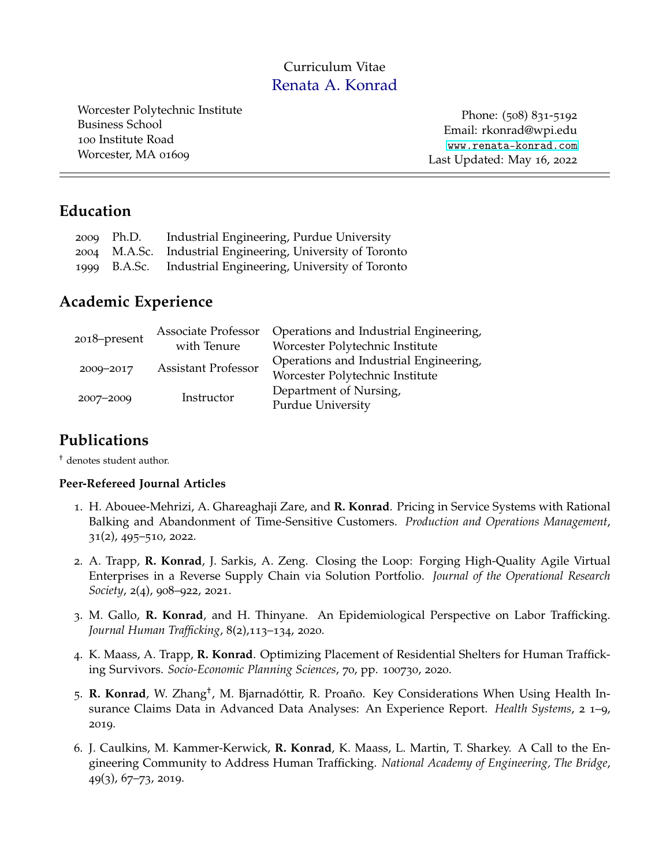## Curriculum Vitae Renata A. Konrad

Worcester Polytechnic Institute Business School 100 Institute Road Worcester, MA 01609

Phone: (508) 831-5192 Email: rkonrad@wpi.edu [www.renata-konrad.com](http://www.renata-konrad.com) Last Updated: May 16, 2022

## **Education**

| 2009 Ph.D. | Industrial Engineering, Purdue University                  |
|------------|------------------------------------------------------------|
|            | 2004 M.A.Sc. Industrial Engineering, University of Toronto |
|            | 1999 B.A.Sc. Industrial Engineering, University of Toronto |

## **Academic Experience**

|              | Associate Professor        | Operations and Industrial Engineering, |
|--------------|----------------------------|----------------------------------------|
| 2018–present | with Tenure                | Worcester Polytechnic Institute        |
|              | <b>Assistant Professor</b> | Operations and Industrial Engineering, |
| 2009-2017    |                            | Worcester Polytechnic Institute        |
|              |                            | Department of Nursing,                 |
| 2007-2009    | Instructor                 | Purdue University                      |

# **Publications**

† denotes student author.

### **Peer-Refereed Journal Articles**

- 1. H. Abouee-Mehrizi, A. Ghareaghaji Zare, and **R. Konrad**. Pricing in Service Systems with Rational Balking and Abandonment of Time-Sensitive Customers. *Production and Operations Management*, 31(2), 495–510, 2022.
- 2. A. Trapp, **R. Konrad**, J. Sarkis, A. Zeng. Closing the Loop: Forging High-Quality Agile Virtual Enterprises in a Reverse Supply Chain via Solution Portfolio. *Journal of the Operational Research Society*, 2(4), 908–922, 2021.
- 3. M. Gallo, **R. Konrad**, and H. Thinyane. An Epidemiological Perspective on Labor Trafficking. *Journal Human Trafficking*, 8(2),113–134, 2020.
- 4. K. Maass, A. Trapp, **R. Konrad**. Optimizing Placement of Residential Shelters for Human Trafficking Survivors. *Socio-Economic Planning Sciences*, 70, pp. 100730, 2020.
- 5. **R. Konrad**, W. Zhang† , M. Bjarnadóttir, R. Proaño. Key Considerations When Using Health Insurance Claims Data in Advanced Data Analyses: An Experience Report. *Health Systems*, 2 1–9, 2019.
- 6. J. Caulkins, M. Kammer-Kerwick, **R. Konrad**, K. Maass, L. Martin, T. Sharkey. A Call to the Engineering Community to Address Human Trafficking. *National Academy of Engineering, The Bridge*, 49(3), 67–73, 2019.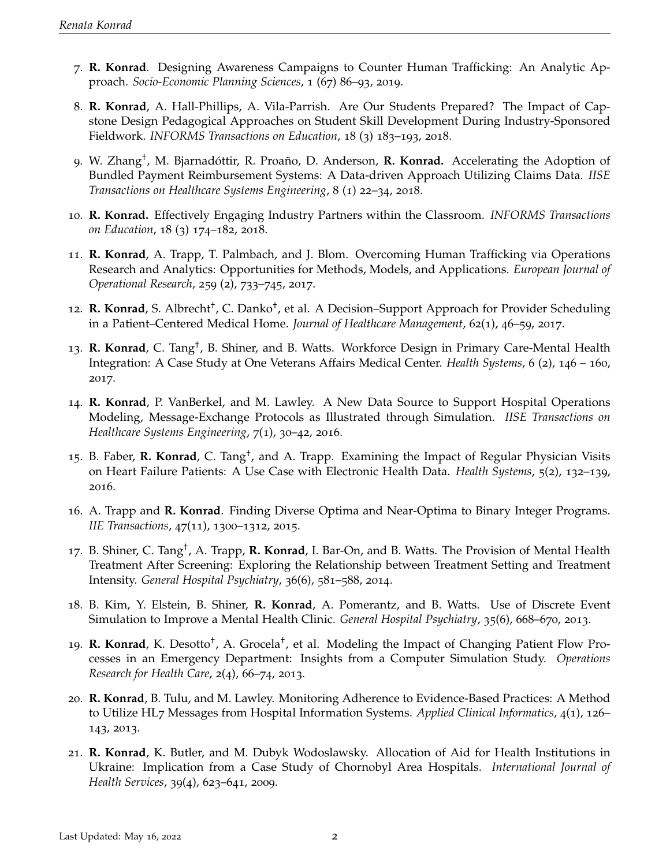- 7. **R. Konrad**. Designing Awareness Campaigns to Counter Human Trafficking: An Analytic Approach. *Socio-Economic Planning Sciences*, 1 (67) 86–93, 2019.
- 8. **R. Konrad**, A. Hall-Phillips, A. Vila-Parrish. Are Our Students Prepared? The Impact of Capstone Design Pedagogical Approaches on Student Skill Development During Industry-Sponsored Fieldwork. *INFORMS Transactions on Education*, 18 (3) 183–193, 2018.
- 9. W. Zhang† , M. Bjarnadóttir, R. Proaño, D. Anderson, **R. Konrad.** Accelerating the Adoption of Bundled Payment Reimbursement Systems: A Data-driven Approach Utilizing Claims Data. *IISE Transactions on Healthcare Systems Engineering*, 8 (1) 22–34, 2018.
- 10. **R. Konrad.** Effectively Engaging Industry Partners within the Classroom. *INFORMS Transactions on Education*, 18 (3) 174–182, 2018.
- 11. **R. Konrad**, A. Trapp, T. Palmbach, and J. Blom. Overcoming Human Trafficking via Operations Research and Analytics: Opportunities for Methods, Models, and Applications. *European Journal of Operational Research*, 259 (2), 733–745, 2017.
- 12. R. Konrad, S. Albrecht<sup>†</sup>, C. Danko<sup>†</sup>, et al. A Decision–Support Approach for Provider Scheduling in a Patient–Centered Medical Home. *Journal of Healthcare Management*, 62(1), 46–59, 2017.
- 13. R. Konrad, C. Tang<sup>†</sup>, B. Shiner, and B. Watts. Workforce Design in Primary Care-Mental Health Integration: A Case Study at One Veterans Affairs Medical Center. *Health Systems*, 6 (2), 146 – 160, 2017.
- 14. **R. Konrad**, P. VanBerkel, and M. Lawley. A New Data Source to Support Hospital Operations Modeling, Message-Exchange Protocols as Illustrated through Simulation. *IISE Transactions on Healthcare Systems Engineering*, 7(1), 30–42, 2016.
- 15. B. Faber, **R. Konrad**, C. Tang<sup>†</sup>, and A. Trapp. Examining the Impact of Regular Physician Visits on Heart Failure Patients: A Use Case with Electronic Health Data. *Health Systems*, 5(2), 132–139, 2016.
- 16. A. Trapp and **R. Konrad**. Finding Diverse Optima and Near-Optima to Binary Integer Programs. *IIE Transactions*, 47(11), 1300–1312, 2015.
- 17. B. Shiner, C. Tang† , A. Trapp, **R. Konrad**, I. Bar-On, and B. Watts. The Provision of Mental Health Treatment After Screening: Exploring the Relationship between Treatment Setting and Treatment Intensity. *General Hospital Psychiatry*, 36(6), 581–588, 2014.
- 18. B. Kim, Y. Elstein, B. Shiner, **R. Konrad**, A. Pomerantz, and B. Watts. Use of Discrete Event Simulation to Improve a Mental Health Clinic. *General Hospital Psychiatry*, 35(6), 668–670, 2013.
- 19. **R. Konrad**, K. Desotto<sup>†</sup>, A. Grocela<sup>†</sup>, et al. Modeling the Impact of Changing Patient Flow Processes in an Emergency Department: Insights from a Computer Simulation Study. *Operations Research for Health Care*, 2(4), 66–74, 2013.
- 20. **R. Konrad**, B. Tulu, and M. Lawley. Monitoring Adherence to Evidence-Based Practices: A Method to Utilize HL7 Messages from Hospital Information Systems. *Applied Clinical Informatics*, 4(1), 126– 143, 2013.
- 21. **R. Konrad**, K. Butler, and M. Dubyk Wodoslawsky. Allocation of Aid for Health Institutions in Ukraine: Implication from a Case Study of Chornobyl Area Hospitals. *International Journal of Health Services*, 39(4), 623–641, 2009.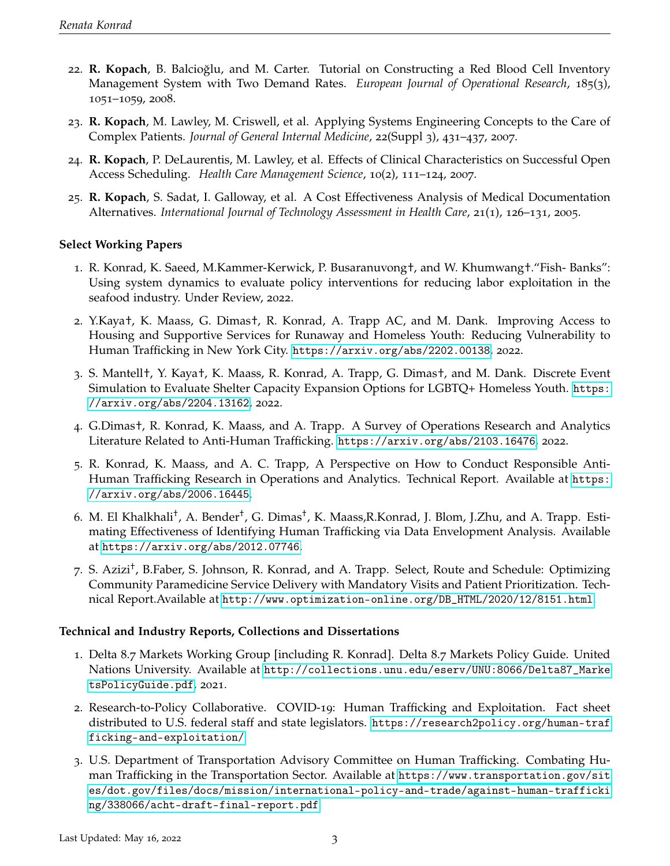- 22. **R. Kopach**, B. Balcioğlu, and M. Carter. Tutorial on Constructing a Red Blood Cell Inventory Management System with Two Demand Rates. *European Journal of Operational Research*, 185(3), 1051–1059, 2008.
- 23. **R. Kopach**, M. Lawley, M. Criswell, et al. Applying Systems Engineering Concepts to the Care of Complex Patients. *Journal of General Internal Medicine*, 22(Suppl 3), 431–437, 2007.
- 24. **R. Kopach**, P. DeLaurentis, M. Lawley, et al. Effects of Clinical Characteristics on Successful Open Access Scheduling. *Health Care Management Science*, 10(2), 111–124, 2007.
- 25. **R. Kopach**, S. Sadat, I. Galloway, et al. A Cost Effectiveness Analysis of Medical Documentation Alternatives. *International Journal of Technology Assessment in Health Care*, 21(1), 126–131, 2005.

### **Select Working Papers**

- 1. R. Konrad, K. Saeed, M.Kammer-Kerwick, P. Busaranuvong†, and W. Khumwang†."Fish- Banks": Using system dynamics to evaluate policy interventions for reducing labor exploitation in the seafood industry. Under Review, 2022.
- 2. Y.Kaya†, K. Maass, G. Dimas†, R. Konrad, A. Trapp AC, and M. Dank. Improving Access to Housing and Supportive Services for Runaway and Homeless Youth: Reducing Vulnerability to Human Trafficking in New York City. <https://arxiv.org/abs/2202.00138>, 2022.
- 3. S. Mantell†, Y. Kaya†, K. Maass, R. Konrad, A. Trapp, G. Dimas†, and M. Dank. Discrete Event Simulation to Evaluate Shelter Capacity Expansion Options for LGBTQ+ Homeless Youth. [https:](https://arxiv.org/abs/2204.13162) [//arxiv.org/abs/2204.13162](https://arxiv.org/abs/2204.13162), 2022.
- 4. G.Dimas†, R. Konrad, K. Maass, and A. Trapp. A Survey of Operations Research and Analytics Literature Related to Anti-Human Trafficking. <https://arxiv.org/abs/2103.16476>, 2022.
- 5. R. Konrad, K. Maass, and A. C. Trapp, A Perspective on How to Conduct Responsible Anti-Human Trafficking Research in Operations and Analytics. Technical Report. Available at [https:](https://arxiv.org/abs/2006.16445) [//arxiv.org/abs/2006.16445](https://arxiv.org/abs/2006.16445).
- 6. M. El Khalkhali<sup>†</sup>, A. Bender<sup>†</sup>, G. Dimas<sup>†</sup>, K. Maass,R.Konrad, J. Blom, J.Zhu, and A. Trapp. Estimating Effectiveness of Identifying Human Trafficking via Data Envelopment Analysis. Available at <https://arxiv.org/abs/2012.07746>.
- 7. S. Azizi† , B.Faber, S. Johnson, R. Konrad, and A. Trapp. Select, Route and Schedule: Optimizing Community Paramedicine Service Delivery with Mandatory Visits and Patient Prioritization. Technical Report.Available at [http://www.optimization-online.org/DB\\_HTML/2020/12/8151.html](http://www.optimization-online.org/DB_HTML/2020/12/8151.html).

### **Technical and Industry Reports, Collections and Dissertations**

- 1. Delta 8.7 Markets Working Group [including R. Konrad]. Delta 8.7 Markets Policy Guide. United Nations University. Available at [http://collections.unu.edu/eserv/UNU:8066/Delta87\\_Marke](http://collections.unu.edu/eserv/UNU:8066/Delta87_MarketsPolicyGuide.pdf) [tsPolicyGuide.pdf](http://collections.unu.edu/eserv/UNU:8066/Delta87_MarketsPolicyGuide.pdf), 2021.
- 2. Research-to-Policy Collaborative. COVID-19: Human Trafficking and Exploitation. Fact sheet distributed to U.S. federal staff and state legislators. [https://research2policy.org/human-traf](https://research2policy.org/human-trafficking-and-exploitation/) [ficking-and-exploitation/](https://research2policy.org/human-trafficking-and-exploitation/)
- 3. U.S. Department of Transportation Advisory Committee on Human Trafficking. Combating Human Trafficking in the Transportation Sector. Available at [https://www.transportation.gov/sit](https://www.transportation.gov/sites/dot.gov/files/docs/mission/international-policy-and-trade/against-human-trafficking/338066/acht-draft-final-report.pdf) [es/dot.gov/files/docs/mission/international-policy-and-trade/against-human-trafficki](https://www.transportation.gov/sites/dot.gov/files/docs/mission/international-policy-and-trade/against-human-trafficking/338066/acht-draft-final-report.pdf) [ng/338066/acht-draft-final-report.pdf](https://www.transportation.gov/sites/dot.gov/files/docs/mission/international-policy-and-trade/against-human-trafficking/338066/acht-draft-final-report.pdf)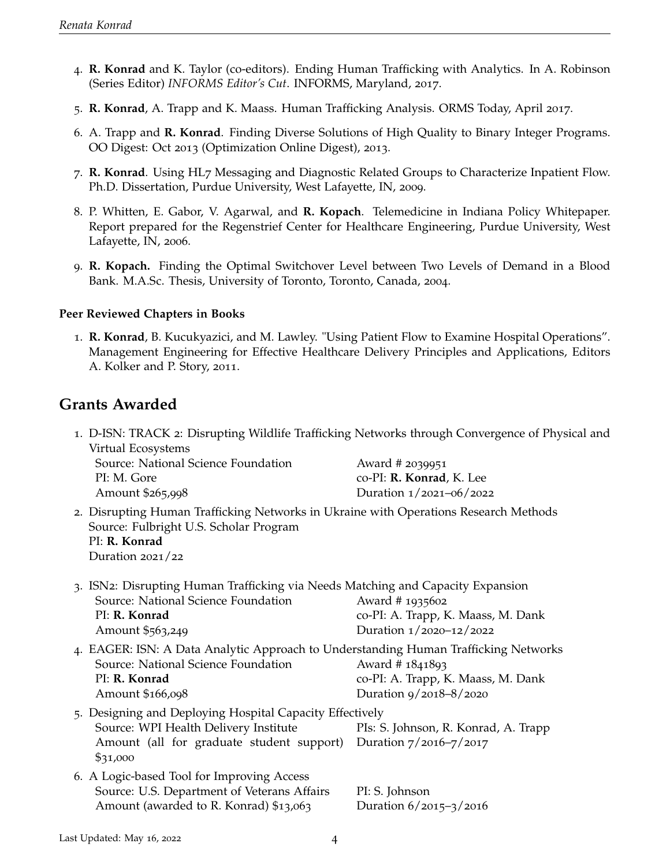- 4. **R. Konrad** and K. Taylor (co-editors). Ending Human Trafficking with Analytics. In A. Robinson (Series Editor) *INFORMS Editor's Cut*. INFORMS, Maryland, 2017.
- 5. **R. Konrad**, A. Trapp and K. Maass. Human Trafficking Analysis. ORMS Today, April 2017.
- 6. A. Trapp and **R. Konrad**. Finding Diverse Solutions of High Quality to Binary Integer Programs. OO Digest: Oct 2013 (Optimization Online Digest), 2013.
- 7. **R. Konrad**. Using HL7 Messaging and Diagnostic Related Groups to Characterize Inpatient Flow. Ph.D. Dissertation, Purdue University, West Lafayette, IN, 2009.
- 8. P. Whitten, E. Gabor, V. Agarwal, and **R. Kopach**. Telemedicine in Indiana Policy Whitepaper. Report prepared for the Regenstrief Center for Healthcare Engineering, Purdue University, West Lafayette, IN, 2006.
- 9. **R. Kopach.** Finding the Optimal Switchover Level between Two Levels of Demand in a Blood Bank. M.A.Sc. Thesis, University of Toronto, Toronto, Canada, 2004.

### **Peer Reviewed Chapters in Books**

1. **R. Konrad**, B. Kucukyazici, and M. Lawley. "Using Patient Flow to Examine Hospital Operations". Management Engineering for Effective Healthcare Delivery Principles and Applications, Editors A. Kolker and P. Story, 2011.

## **Grants Awarded**

| Virtual Ecosystems<br>Source: National Science Foundation<br>PI: M. Gore<br>Amount \$265,998                                                                                      | 1. D-ISN: TRACK 2: Disrupting Wildlife Trafficking Networks through Convergence of Physical and<br>Award # 2039951<br>co-PI: R. Konrad, K. Lee<br>Duration 1/2021-06/2022 |
|-----------------------------------------------------------------------------------------------------------------------------------------------------------------------------------|---------------------------------------------------------------------------------------------------------------------------------------------------------------------------|
| 2. Disrupting Human Trafficking Networks in Ukraine with Operations Research Methods<br>Source: Fulbright U.S. Scholar Program<br>PI: R. Konrad<br>Duration $2021/22$             |                                                                                                                                                                           |
| 3. ISN2: Disrupting Human Trafficking via Needs Matching and Capacity Expansion<br>Source: National Science Foundation<br>PI: R. Konrad<br>Amount \$563,249                       | Award # 1935602<br>co-PI: A. Trapp, K. Maass, M. Dank<br>Duration 1/2020-12/2022                                                                                          |
| 4. EAGER: ISN: A Data Analytic Approach to Understanding Human Trafficking Networks<br>Source: National Science Foundation<br>PI: R. Konrad<br>Amount \$166,098                   | Award # 1841893<br>co-PI: A. Trapp, K. Maass, M. Dank<br>Duration 9/2018-8/2020                                                                                           |
| 5. Designing and Deploying Hospital Capacity Effectively<br>Source: WPI Health Delivery Institute<br>Amount (all for graduate student support) Duration 7/2016-7/2017<br>\$31,000 | PIs: S. Johnson, R. Konrad, A. Trapp                                                                                                                                      |
| 6. A Logic-based Tool for Improving Access<br>Source: U.S. Department of Veterans Affairs<br>Amount (awarded to R. Konrad) \$13,063                                               | PI: S. Johnson<br>Duration 6/2015-3/2016                                                                                                                                  |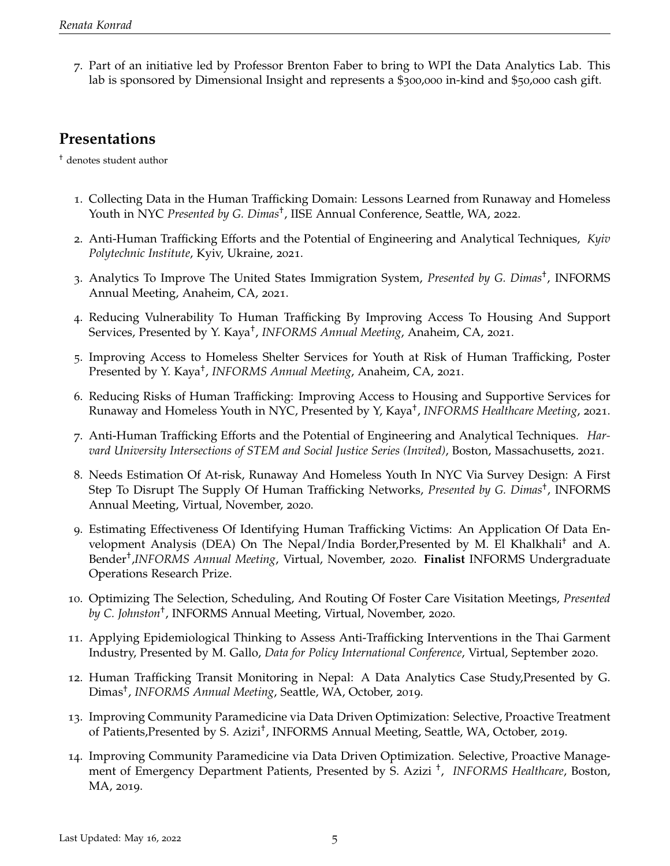7. Part of an initiative led by Professor Brenton Faber to bring to WPI the Data Analytics Lab. This lab is sponsored by Dimensional Insight and represents a \$300,000 in-kind and \$50,000 cash gift.

# **Presentations**

† denotes student author

- 1. Collecting Data in the Human Trafficking Domain: Lessons Learned from Runaway and Homeless Youth in NYC Presented by G. Dimas<sup>†</sup>, IISE Annual Conference, Seattle, WA, 2022.
- 2. Anti-Human Trafficking Efforts and the Potential of Engineering and Analytical Techniques, *Kyiv Polytechnic Institute*, Kyiv, Ukraine, 2021.
- 3. Analytics To Improve The United States Immigration System, *Presented by G. Dimas*† , INFORMS Annual Meeting, Anaheim, CA, 2021.
- 4. Reducing Vulnerability To Human Trafficking By Improving Access To Housing And Support Services, Presented by Y. Kaya† , *INFORMS Annual Meeting*, Anaheim, CA, 2021.
- 5. Improving Access to Homeless Shelter Services for Youth at Risk of Human Trafficking, Poster Presented by Y. Kaya† , *INFORMS Annual Meeting*, Anaheim, CA, 2021.
- 6. Reducing Risks of Human Trafficking: Improving Access to Housing and Supportive Services for Runaway and Homeless Youth in NYC, Presented by Y, Kaya† , *INFORMS Healthcare Meeting*, 2021.
- 7. Anti-Human Trafficking Efforts and the Potential of Engineering and Analytical Techniques. *Harvard University Intersections of STEM and Social Justice Series (Invited)*, Boston, Massachusetts, 2021.
- 8. Needs Estimation Of At-risk, Runaway And Homeless Youth In NYC Via Survey Design: A First Step To Disrupt The Supply Of Human Trafficking Networks, *Presented by G. Dimas*† , INFORMS Annual Meeting, Virtual, November, 2020.
- 9. Estimating Effectiveness Of Identifying Human Trafficking Victims: An Application Of Data Envelopment Analysis (DEA) On The Nepal/India Border,Presented by M. El Khalkhali† and A. Bender† ,*INFORMS Annual Meeting*, Virtual, November, 2020. **Finalist** INFORMS Undergraduate Operations Research Prize.
- 10. Optimizing The Selection, Scheduling, And Routing Of Foster Care Visitation Meetings, *Presented by C. Johnston*† , INFORMS Annual Meeting, Virtual, November, 2020.
- 11. Applying Epidemiological Thinking to Assess Anti-Trafficking Interventions in the Thai Garment Industry, Presented by M. Gallo, *Data for Policy International Conference*, Virtual, September 2020.
- 12. Human Trafficking Transit Monitoring in Nepal: A Data Analytics Case Study,Presented by G. Dimas† , *INFORMS Annual Meeting*, Seattle, WA, October, 2019.
- 13. Improving Community Paramedicine via Data Driven Optimization: Selective, Proactive Treatment of Patients, Presented by S. Azizi<sup>†</sup>, INFORMS Annual Meeting, Seattle, WA, October, 2019.
- 14. Improving Community Paramedicine via Data Driven Optimization. Selective, Proactive Management of Emergency Department Patients, Presented by S. Azizi † , *INFORMS Healthcare*, Boston, MA, 2019.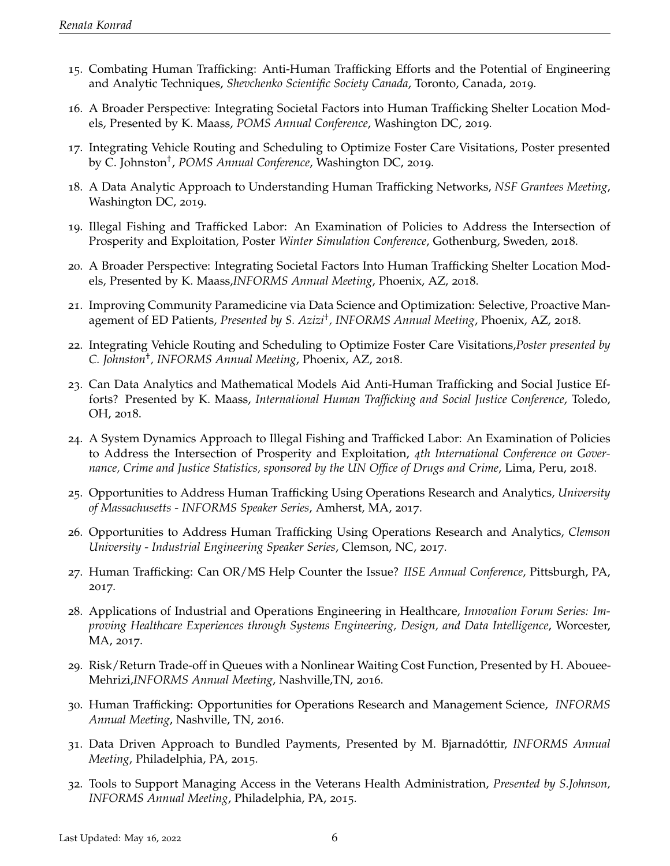- 15. Combating Human Trafficking: Anti-Human Trafficking Efforts and the Potential of Engineering and Analytic Techniques, *Shevchenko Scientific Society Canada*, Toronto, Canada, 2019.
- 16. A Broader Perspective: Integrating Societal Factors into Human Trafficking Shelter Location Models, Presented by K. Maass, *POMS Annual Conference*, Washington DC, 2019.
- 17. Integrating Vehicle Routing and Scheduling to Optimize Foster Care Visitations, Poster presented by C. Johnston† , *POMS Annual Conference*, Washington DC, 2019.
- 18. A Data Analytic Approach to Understanding Human Trafficking Networks, *NSF Grantees Meeting*, Washington DC, 2019.
- 19. Illegal Fishing and Trafficked Labor: An Examination of Policies to Address the Intersection of Prosperity and Exploitation, Poster *Winter Simulation Conference*, Gothenburg, Sweden, 2018.
- 20. A Broader Perspective: Integrating Societal Factors Into Human Trafficking Shelter Location Models, Presented by K. Maass,*INFORMS Annual Meeting*, Phoenix, AZ, 2018.
- 21. Improving Community Paramedicine via Data Science and Optimization: Selective, Proactive Management of ED Patients, *Presented by S. Azizi*† *, INFORMS Annual Meeting*, Phoenix, AZ, 2018.
- 22. Integrating Vehicle Routing and Scheduling to Optimize Foster Care Visitations,*Poster presented by C. Johnston*† *, INFORMS Annual Meeting*, Phoenix, AZ, 2018.
- 23. Can Data Analytics and Mathematical Models Aid Anti-Human Trafficking and Social Justice Efforts? Presented by K. Maass, *International Human Trafficking and Social Justice Conference*, Toledo, OH, 2018.
- 24. A System Dynamics Approach to Illegal Fishing and Trafficked Labor: An Examination of Policies to Address the Intersection of Prosperity and Exploitation, *4th International Conference on Governance, Crime and Justice Statistics, sponsored by the UN Office of Drugs and Crime*, Lima, Peru, 2018.
- 25. Opportunities to Address Human Trafficking Using Operations Research and Analytics, *University of Massachusetts - INFORMS Speaker Series*, Amherst, MA, 2017.
- 26. Opportunities to Address Human Trafficking Using Operations Research and Analytics, *Clemson University - Industrial Engineering Speaker Series*, Clemson, NC, 2017.
- 27. Human Trafficking: Can OR/MS Help Counter the Issue? *IISE Annual Conference*, Pittsburgh, PA, 2017.
- 28. Applications of Industrial and Operations Engineering in Healthcare, *Innovation Forum Series: Improving Healthcare Experiences through Systems Engineering, Design, and Data Intelligence*, Worcester, MA, 2017.
- 29. Risk/Return Trade-off in Queues with a Nonlinear Waiting Cost Function, Presented by H. Abouee-Mehrizi,*INFORMS Annual Meeting*, Nashville,TN, 2016.
- 30. Human Trafficking: Opportunities for Operations Research and Management Science, *INFORMS Annual Meeting*, Nashville, TN, 2016.
- 31. Data Driven Approach to Bundled Payments, Presented by M. Bjarnadóttir, *INFORMS Annual Meeting*, Philadelphia, PA, 2015.
- 32. Tools to Support Managing Access in the Veterans Health Administration, *Presented by S.Johnson, INFORMS Annual Meeting*, Philadelphia, PA, 2015.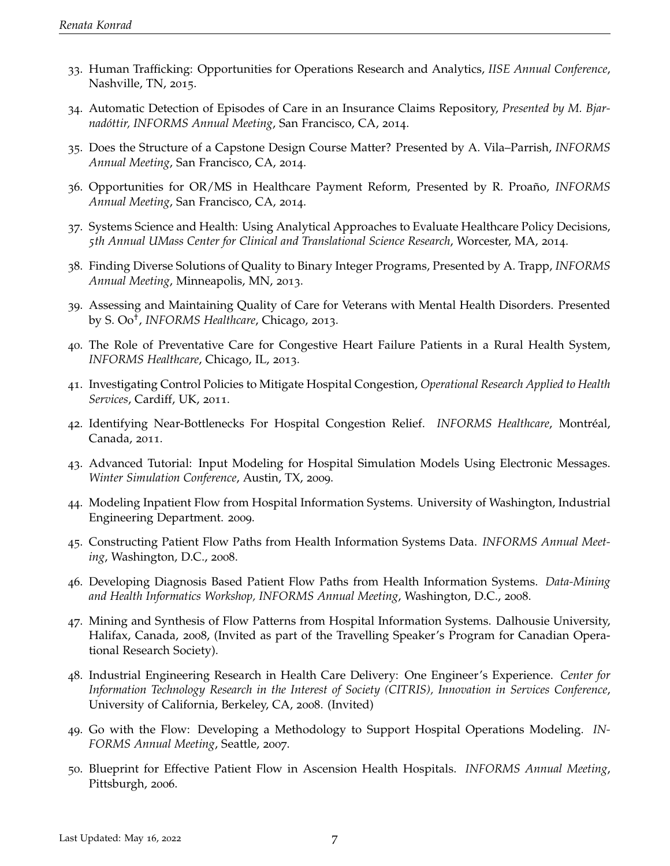- 33. Human Trafficking: Opportunities for Operations Research and Analytics, *IISE Annual Conference*, Nashville, TN, 2015.
- 34. Automatic Detection of Episodes of Care in an Insurance Claims Repository, *Presented by M. Bjarnadóttir, INFORMS Annual Meeting*, San Francisco, CA, 2014.
- 35. Does the Structure of a Capstone Design Course Matter? Presented by A. Vila–Parrish, *INFORMS Annual Meeting*, San Francisco, CA, 2014.
- 36. Opportunities for OR/MS in Healthcare Payment Reform, Presented by R. Proaño, *INFORMS Annual Meeting*, San Francisco, CA, 2014.
- 37. Systems Science and Health: Using Analytical Approaches to Evaluate Healthcare Policy Decisions, *5th Annual UMass Center for Clinical and Translational Science Research*, Worcester, MA, 2014.
- 38. Finding Diverse Solutions of Quality to Binary Integer Programs, Presented by A. Trapp, *INFORMS Annual Meeting*, Minneapolis, MN, 2013.
- 39. Assessing and Maintaining Quality of Care for Veterans with Mental Health Disorders. Presented by S. Oo† , *INFORMS Healthcare*, Chicago, 2013.
- 40. The Role of Preventative Care for Congestive Heart Failure Patients in a Rural Health System, *INFORMS Healthcare*, Chicago, IL, 2013.
- 41. Investigating Control Policies to Mitigate Hospital Congestion, *Operational Research Applied to Health Services*, Cardiff, UK, 2011.
- 42. Identifying Near-Bottlenecks For Hospital Congestion Relief. *INFORMS Healthcare*, Montréal, Canada, 2011.
- 43. Advanced Tutorial: Input Modeling for Hospital Simulation Models Using Electronic Messages. *Winter Simulation Conference*, Austin, TX, 2009.
- 44. Modeling Inpatient Flow from Hospital Information Systems. University of Washington, Industrial Engineering Department. 2009.
- 45. Constructing Patient Flow Paths from Health Information Systems Data. *INFORMS Annual Meeting*, Washington, D.C., 2008.
- 46. Developing Diagnosis Based Patient Flow Paths from Health Information Systems. *Data-Mining and Health Informatics Workshop, INFORMS Annual Meeting*, Washington, D.C., 2008.
- 47. Mining and Synthesis of Flow Patterns from Hospital Information Systems. Dalhousie University, Halifax, Canada, 2008, (Invited as part of the Travelling Speaker's Program for Canadian Operational Research Society).
- 48. Industrial Engineering Research in Health Care Delivery: One Engineer's Experience. *Center for Information Technology Research in the Interest of Society (CITRIS), Innovation in Services Conference*, University of California, Berkeley, CA, 2008. (Invited)
- 49. Go with the Flow: Developing a Methodology to Support Hospital Operations Modeling. *IN-FORMS Annual Meeting*, Seattle, 2007.
- 50. Blueprint for Effective Patient Flow in Ascension Health Hospitals. *INFORMS Annual Meeting*, Pittsburgh, 2006.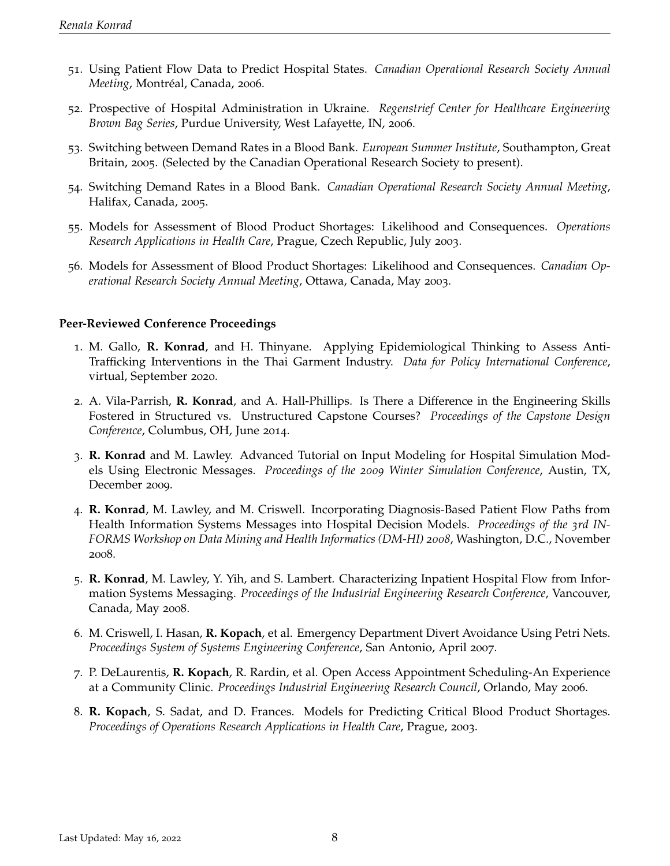- 51. Using Patient Flow Data to Predict Hospital States. *Canadian Operational Research Society Annual Meeting*, Montréal, Canada, 2006.
- 52. Prospective of Hospital Administration in Ukraine. *Regenstrief Center for Healthcare Engineering Brown Bag Series*, Purdue University, West Lafayette, IN, 2006.
- 53. Switching between Demand Rates in a Blood Bank. *European Summer Institute*, Southampton, Great Britain, 2005. (Selected by the Canadian Operational Research Society to present).
- 54. Switching Demand Rates in a Blood Bank. *Canadian Operational Research Society Annual Meeting*, Halifax, Canada, 2005.
- 55. Models for Assessment of Blood Product Shortages: Likelihood and Consequences. *Operations Research Applications in Health Care*, Prague, Czech Republic, July 2003.
- 56. Models for Assessment of Blood Product Shortages: Likelihood and Consequences. *Canadian Operational Research Society Annual Meeting*, Ottawa, Canada, May 2003.

#### **Peer-Reviewed Conference Proceedings**

- 1. M. Gallo, **R. Konrad**, and H. Thinyane. Applying Epidemiological Thinking to Assess Anti-Trafficking Interventions in the Thai Garment Industry. *Data for Policy International Conference*, virtual, September 2020.
- 2. A. Vila-Parrish, **R. Konrad**, and A. Hall-Phillips. Is There a Difference in the Engineering Skills Fostered in Structured vs. Unstructured Capstone Courses? *Proceedings of the Capstone Design Conference*, Columbus, OH, June 2014.
- 3. **R. Konrad** and M. Lawley. Advanced Tutorial on Input Modeling for Hospital Simulation Models Using Electronic Messages. *Proceedings of the 2009 Winter Simulation Conference*, Austin, TX, December 2009.
- 4. **R. Konrad**, M. Lawley, and M. Criswell. Incorporating Diagnosis-Based Patient Flow Paths from Health Information Systems Messages into Hospital Decision Models. *Proceedings of the 3rd IN-FORMS Workshop on Data Mining and Health Informatics (DM-HI) 2008*, Washington, D.C., November 2008.
- 5. **R. Konrad**, M. Lawley, Y. Yih, and S. Lambert. Characterizing Inpatient Hospital Flow from Information Systems Messaging. *Proceedings of the Industrial Engineering Research Conference*, Vancouver, Canada, May 2008.
- 6. M. Criswell, I. Hasan, **R. Kopach**, et al. Emergency Department Divert Avoidance Using Petri Nets. *Proceedings System of Systems Engineering Conference*, San Antonio, April 2007.
- 7. P. DeLaurentis, **R. Kopach**, R. Rardin, et al. Open Access Appointment Scheduling-An Experience at a Community Clinic. *Proceedings Industrial Engineering Research Council*, Orlando, May 2006.
- 8. **R. Kopach**, S. Sadat, and D. Frances. Models for Predicting Critical Blood Product Shortages. *Proceedings of Operations Research Applications in Health Care*, Prague, 2003.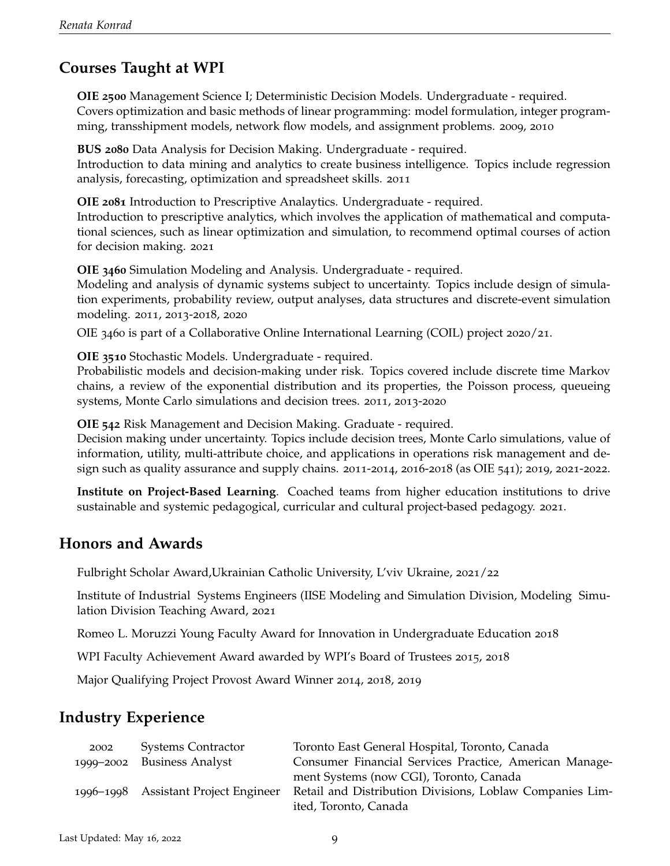# **Courses Taught at WPI**

**OIE 2500** Management Science I; Deterministic Decision Models. Undergraduate - required. Covers optimization and basic methods of linear programming: model formulation, integer programming, transshipment models, network flow models, and assignment problems. 2009, 2010

**BUS 2080** Data Analysis for Decision Making. Undergraduate - required. Introduction to data mining and analytics to create business intelligence. Topics include regression analysis, forecasting, optimization and spreadsheet skills. 2011

**OIE 2081** Introduction to Prescriptive Analaytics. Undergraduate - required. Introduction to prescriptive analytics, which involves the application of mathematical and computational sciences, such as linear optimization and simulation, to recommend optimal courses of action for decision making. 2021

**OIE 3460** Simulation Modeling and Analysis. Undergraduate - required.

Modeling and analysis of dynamic systems subject to uncertainty. Topics include design of simulation experiments, probability review, output analyses, data structures and discrete-event simulation modeling. 2011, 2013-2018, 2020

OIE 3460 is part of a Collaborative Online International Learning (COIL) project 2020/21.

**OIE 3510** Stochastic Models. Undergraduate - required.

Probabilistic models and decision-making under risk. Topics covered include discrete time Markov chains, a review of the exponential distribution and its properties, the Poisson process, queueing systems, Monte Carlo simulations and decision trees. 2011, 2013-2020

**OIE 542** Risk Management and Decision Making. Graduate - required.

Decision making under uncertainty. Topics include decision trees, Monte Carlo simulations, value of information, utility, multi-attribute choice, and applications in operations risk management and design such as quality assurance and supply chains. 2011-2014, 2016-2018 (as OIE 541); 2019, 2021-2022.

**Institute on Project-Based Learning**. Coached teams from higher education institutions to drive sustainable and systemic pedagogical, curricular and cultural project-based pedagogy. 2021.

## **Honors and Awards**

Fulbright Scholar Award,Ukrainian Catholic University, L'viv Ukraine, 2021/22

Institute of Industrial Systems Engineers (IISE Modeling and Simulation Division, Modeling Simulation Division Teaching Award, 2021

Romeo L. Moruzzi Young Faculty Award for Innovation in Undergraduate Education 2018

WPI Faculty Achievement Award awarded by WPI's Board of Trustees 2015, 2018

Major Qualifying Project Provost Award Winner 2014, 2018, 2019

## **Industry Experience**

| 2002      | <b>Systems Contractor</b>         | Toronto East General Hospital, Toronto, Canada           |
|-----------|-----------------------------------|----------------------------------------------------------|
|           | 1999–2002 Business Analyst        | Consumer Financial Services Practice, American Manage-   |
|           |                                   | ment Systems (now CGI), Toronto, Canada                  |
| 1996-1998 | <b>Assistant Project Engineer</b> | Retail and Distribution Divisions, Loblaw Companies Lim- |
|           |                                   | ited, Toronto, Canada                                    |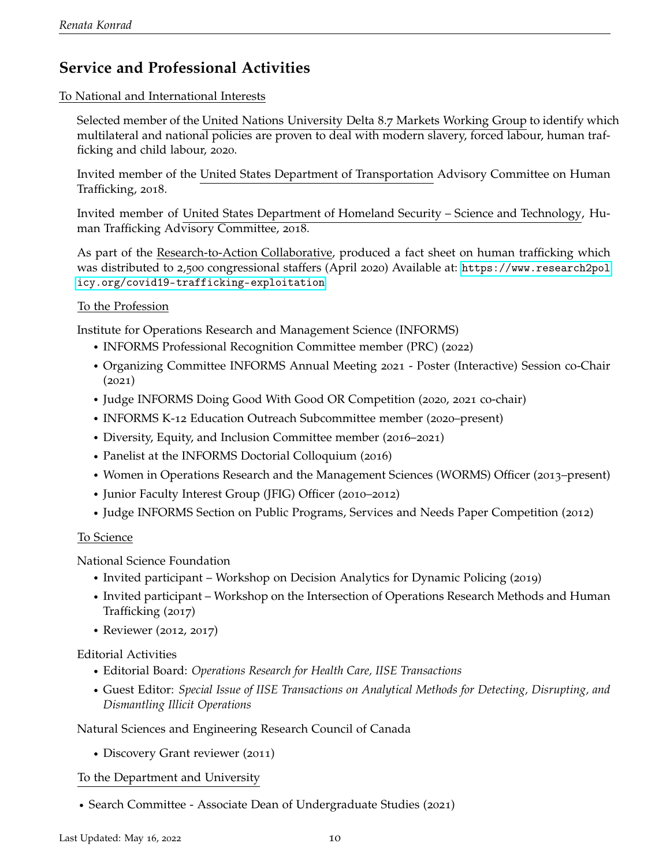# **Service and Professional Activities**

To National and International Interests

Selected member of the United Nations University Delta 8.7 Markets Working Group to identify which multilateral and national policies are proven to deal with modern slavery, forced labour, human trafficking and child labour, 2020.

Invited member of the United States Department of Transportation Advisory Committee on Human Trafficking, 2018.

Invited member of United States Department of Homeland Security – Science and Technology, Human Trafficking Advisory Committee, 2018.

As part of the Research-to-Action Collaborative, produced a fact sheet on human trafficking which was distributed to 2,500 congressional staffers (April 2020) Available at: [https://www.research2pol](https://www.research2policy.org/covid19-trafficking-exploitation) [icy.org/covid19-trafficking-exploitation](https://www.research2policy.org/covid19-trafficking-exploitation)

### To the Profession

Institute for Operations Research and Management Science (INFORMS)

- r INFORMS Professional Recognition Committee member (PRC) (2022)
- Organizing Committee INFORMS Annual Meeting 2021 Poster (Interactive) Session co-Chair (2021)
- r Judge INFORMS Doing Good With Good OR Competition (2020, 2021 co-chair)
- INFORMS K-12 Education Outreach Subcommittee member (2020–present)
- Diversity, Equity, and Inclusion Committee member (2016–2021)
- Panelist at the INFORMS Doctorial Colloquium (2016)
- Women in Operations Research and the Management Sciences (WORMS) Officer (2013–present)
- r Junior Faculty Interest Group (JFIG) Officer (2010–2012)
- r Judge INFORMS Section on Public Programs, Services and Needs Paper Competition (2012)

#### To Science

National Science Foundation

- Invited participant Workshop on Decision Analytics for Dynamic Policing (2019)
- r Invited participant Workshop on the Intersection of Operations Research Methods and Human Trafficking (2017)
- Reviewer (2012, 2017)

#### Editorial Activities

- r Editorial Board: *Operations Research for Health Care, IISE Transactions*
- r Guest Editor: *Special Issue of IISE Transactions on Analytical Methods for Detecting, Disrupting, and Dismantling Illicit Operations*

#### Natural Sciences and Engineering Research Council of Canada

• Discovery Grant reviewer (2011)

### To the Department and University

• Search Committee - Associate Dean of Undergraduate Studies (2021)